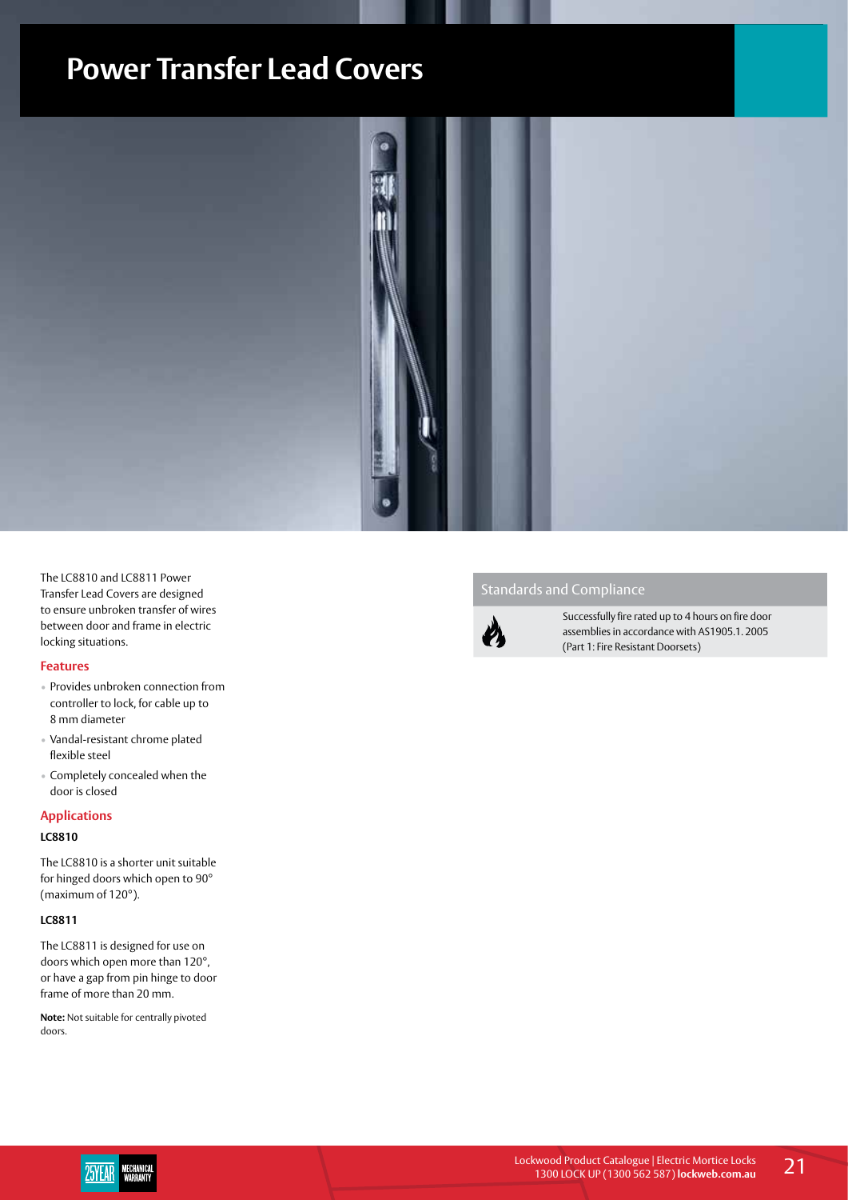## **Power Transfer Lead Covers**



The LC8810 and LC8811 Power Transfer Lead Covers are designed to ensure unbroken transfer of wires between door and frame in electric locking situations.

#### **Features**

- Provides unbroken connection from controller to lock, for cable up to 8 mm diameter
- Vandal-resistant chrome plated flexible steel
- Completely concealed when the door is closed

#### **Applications**

#### **LC8810**

The LC8810 is a shorter unit suitable for hinged doors which open to 90° (maximum of 120°).

#### **LC8811**

The LC8811 is designed for use on doors which open more than 120°, or have a gap from pin hinge to door frame of more than 20 mm.

**Note:** Not suitable for centrally pivoted doors.

### Standards and Compliance



Successfully fire rated up to 4 hours on fire door assemblies in accordance with AS1905.1. 2005 (Part 1: Fire Resistant Doorsets)